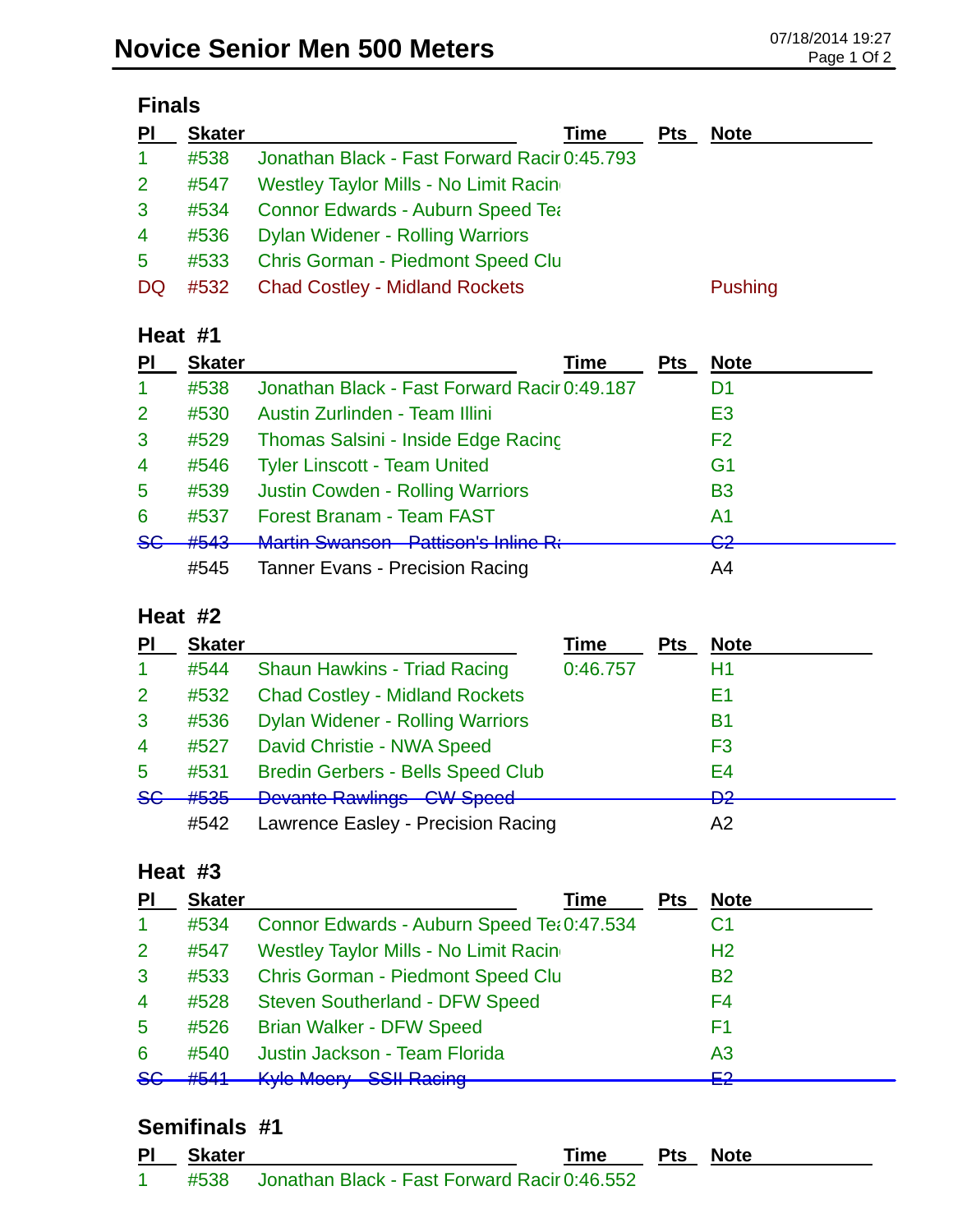| <b>Finals</b>        |               |                                              |  |  |  |  |  |
|----------------------|---------------|----------------------------------------------|--|--|--|--|--|
| $\overline{P}$       | <b>Skater</b> | Time<br><b>Note</b><br><b>Pts</b>            |  |  |  |  |  |
| $\blacktriangleleft$ | #538          | Jonathan Black - Fast Forward Racir 0:45.793 |  |  |  |  |  |
| 2 <sup>1</sup>       | #547          | Westley Taylor Mills - No Limit Racing       |  |  |  |  |  |
| 3                    | #534          | <b>Connor Edwards - Auburn Speed Tea</b>     |  |  |  |  |  |
| $\overline{4}$       | #536          | <b>Dylan Widener - Rolling Warriors</b>      |  |  |  |  |  |
| 5                    | #533          | <b>Chris Gorman - Piedmont Speed Clu</b>     |  |  |  |  |  |

DQ #532 Chad Costley - Midland Rockets Pushing

#### **Heat #1**

| PI                   | <b>Skater</b> | Time                                         | Pts | <b>Note</b>                   |
|----------------------|---------------|----------------------------------------------|-----|-------------------------------|
| $\blacktriangleleft$ | #538          | Jonathan Black - Fast Forward Racir 0:49.187 |     | D1                            |
| 2                    | #530          | Austin Zurlinden - Team Illini               |     | E <sub>3</sub>                |
| 3                    | #529          | Thomas Salsini - Inside Edge Racing          |     | F <sub>2</sub>                |
| $\overline{4}$       | #546          | <b>Tyler Linscott - Team United</b>          |     | G <sub>1</sub>                |
| $\overline{5}$       | #539          | <b>Justin Cowden - Rolling Warriors</b>      |     | <b>B3</b>                     |
| 6                    | #537          | <b>Forest Branam - Team FAST</b>             |     | A1                            |
| 8 <sub>6</sub>       | #543          | Martin Cwancon Datticon's Inline De          |     | ⌒∩<br>$\overline{\mathbf{v}}$ |
|                      | #545          | <b>Tanner Evans - Precision Racing</b>       |     | A4                            |

### **Heat #2**

|               | <b>Skater</b> |                                          | <b>Time</b> | <b>Pts</b> | <b>Note</b>                   |
|---------------|---------------|------------------------------------------|-------------|------------|-------------------------------|
|               | #544          | <b>Shaun Hawkins - Triad Racing</b>      | 0:46.757    |            | H1                            |
| 2             | #532          | <b>Chad Costley - Midland Rockets</b>    |             |            | Ε1                            |
| 3             | #536          | <b>Dylan Widener - Rolling Warriors</b>  |             |            | В1                            |
| 4             | #527          | David Christie - NWA Speed               |             |            | F <sub>3</sub>                |
| 5             | #531          | <b>Bredin Gerbers - Bells Speed Club</b> |             |            | E4                            |
| <del>SG</del> | #535          | <b>Devante Rawlings CW Speed</b>         |             |            | פח<br>$\overline{\mathbf{z}}$ |
|               | #542          | Lawrence Easley - Precision Racing       |             |            | A2                            |

#### **Heat #3**

| PI                      | <b>Skater</b> | Time                                       | <b>Pts</b> | <b>Note</b>    |
|-------------------------|---------------|--------------------------------------------|------------|----------------|
| $\mathbf 1$             | #534          | Connor Edwards - Auburn Speed Tet 0:47.534 |            | C <sub>1</sub> |
| $\overline{2}$          | #547          | Westley Taylor Mills - No Limit Racing     |            | H <sub>2</sub> |
| 3                       | #533          | <b>Chris Gorman - Piedmont Speed Clu</b>   |            | <b>B2</b>      |
| $\overline{4}$          | #528          | <b>Steven Southerland - DFW Speed</b>      |            | F4             |
| 5                       | #526          | <b>Brian Walker - DFW Speed</b>            |            | F1             |
| 6                       | #540          | Justin Jackson - Team Florida              |            | A3             |
| $\overline{\mathbf{S}}$ | #544          | <b>Kyle Moery SSII Racing</b>              |            | ⊏ว             |

#### **Semifinals #1**

| <b>PI</b> | Skater |                                                   | Time | Pts | Note |
|-----------|--------|---------------------------------------------------|------|-----|------|
|           |        | #538 Jonathan Black - Fast Forward Racir 0:46.552 |      |     |      |